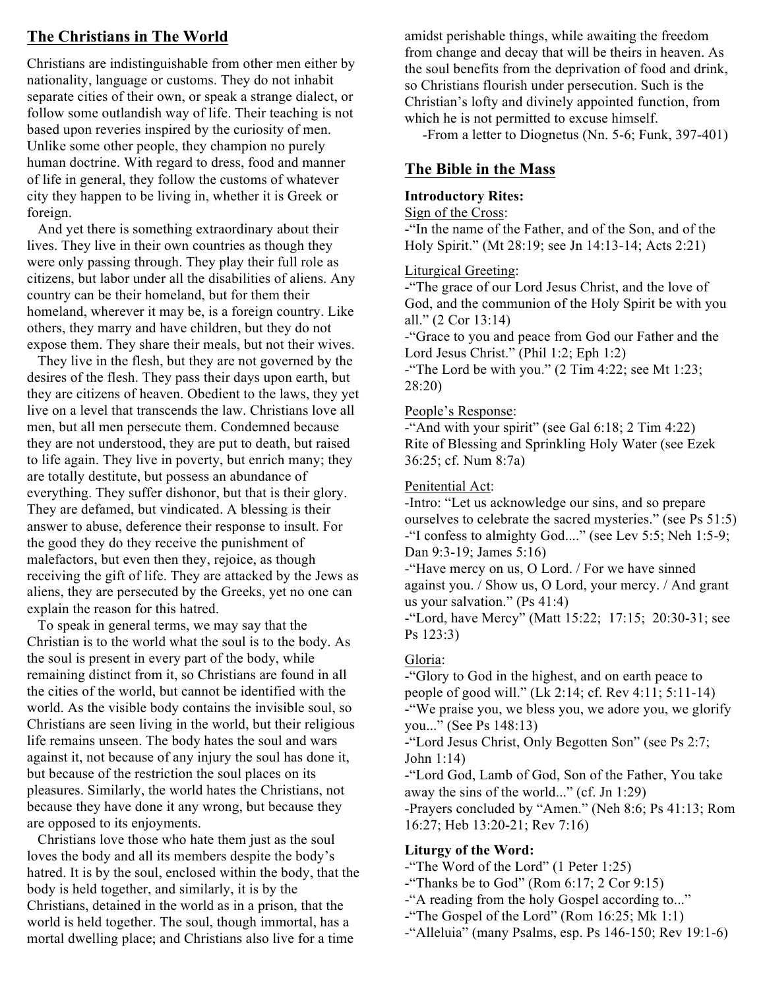# **The Christians in The World**

Christians are indistinguishable from other men either by nationality, language or customs. They do not inhabit separate cities of their own, or speak a strange dialect, or follow some outlandish way of life. Their teaching is not based upon reveries inspired by the curiosity of men. Unlike some other people, they champion no purely human doctrine. With regard to dress, food and manner of life in general, they follow the customs of whatever city they happen to be living in, whether it is Greek or foreign.

 And yet there is something extraordinary about their lives. They live in their own countries as though they were only passing through. They play their full role as citizens, but labor under all the disabilities of aliens. Any country can be their homeland, but for them their homeland, wherever it may be, is a foreign country. Like others, they marry and have children, but they do not expose them. They share their meals, but not their wives.

 They live in the flesh, but they are not governed by the desires of the flesh. They pass their days upon earth, but they are citizens of heaven. Obedient to the laws, they yet live on a level that transcends the law. Christians love all men, but all men persecute them. Condemned because they are not understood, they are put to death, but raised to life again. They live in poverty, but enrich many; they are totally destitute, but possess an abundance of everything. They suffer dishonor, but that is their glory. They are defamed, but vindicated. A blessing is their answer to abuse, deference their response to insult. For the good they do they receive the punishment of malefactors, but even then they, rejoice, as though receiving the gift of life. They are attacked by the Jews as aliens, they are persecuted by the Greeks, yet no one can explain the reason for this hatred.

 To speak in general terms, we may say that the Christian is to the world what the soul is to the body. As the soul is present in every part of the body, while remaining distinct from it, so Christians are found in all the cities of the world, but cannot be identified with the world. As the visible body contains the invisible soul, so Christians are seen living in the world, but their religious life remains unseen. The body hates the soul and wars against it, not because of any injury the soul has done it, but because of the restriction the soul places on its pleasures. Similarly, the world hates the Christians, not because they have done it any wrong, but because they are opposed to its enjoyments.

 Christians love those who hate them just as the soul loves the body and all its members despite the body's hatred. It is by the soul, enclosed within the body, that the body is held together, and similarly, it is by the Christians, detained in the world as in a prison, that the world is held together. The soul, though immortal, has a mortal dwelling place; and Christians also live for a time

amidst perishable things, while awaiting the freedom from change and decay that will be theirs in heaven. As the soul benefits from the deprivation of food and drink, so Christians flourish under persecution. Such is the Christian's lofty and divinely appointed function, from which he is not permitted to excuse himself.

-From a letter to Diognetus (Nn. 5-6; Funk, 397-401)

# **The Bible in the Mass**

### **Introductory Rites:**

Sign of the Cross:

-"In the name of the Father, and of the Son, and of the Holy Spirit." (Mt 28:19; see Jn 14:13-14; Acts 2:21)

### Liturgical Greeting:

-"The grace of our Lord Jesus Christ, and the love of God, and the communion of the Holy Spirit be with you all." (2 Cor 13:14)

-"Grace to you and peace from God our Father and the Lord Jesus Christ." (Phil 1:2; Eph 1:2)

-"The Lord be with you."  $(2 \text{ Tim } 4:22; \text{ see Mt } 1:23;$ 28:20)

### People's Response:

-"And with your spirit" (see Gal 6:18; 2 Tim 4:22) Rite of Blessing and Sprinkling Holy Water (see Ezek 36:25; cf. Num 8:7a)

#### Penitential Act:

-Intro: "Let us acknowledge our sins, and so prepare ourselves to celebrate the sacred mysteries." (see Ps 51:5) -"I confess to almighty God...." (see Lev 5:5; Neh 1:5-9; Dan 9:3-19; James 5:16)

-"Have mercy on us, O Lord. / For we have sinned against you. / Show us, O Lord, your mercy. / And grant us your salvation." (Ps 41:4)

-"Lord, have Mercy" (Matt 15:22; 17:15; 20:30-31; see Ps 123:3)

### Gloria:

-"Glory to God in the highest, and on earth peace to people of good will." (Lk 2:14; cf. Rev 4:11; 5:11-14) -"We praise you, we bless you, we adore you, we glorify you..." (See Ps 148:13)

-"Lord Jesus Christ, Only Begotten Son" (see Ps 2:7; John 1:14)

-"Lord God, Lamb of God, Son of the Father, You take away the sins of the world..." (cf. Jn 1:29)

-Prayers concluded by "Amen." (Neh 8:6; Ps 41:13; Rom 16:27; Heb 13:20-21; Rev 7:16)

### **Liturgy of the Word:**

-"The Word of the Lord" (1 Peter 1:25)

- -"Thanks be to God" (Rom 6:17; 2 Cor 9:15)
- -"A reading from the holy Gospel according to..."
- -"The Gospel of the Lord" (Rom 16:25; Mk 1:1)
- -"Alleluia" (many Psalms, esp. Ps 146-150; Rev 19:1-6)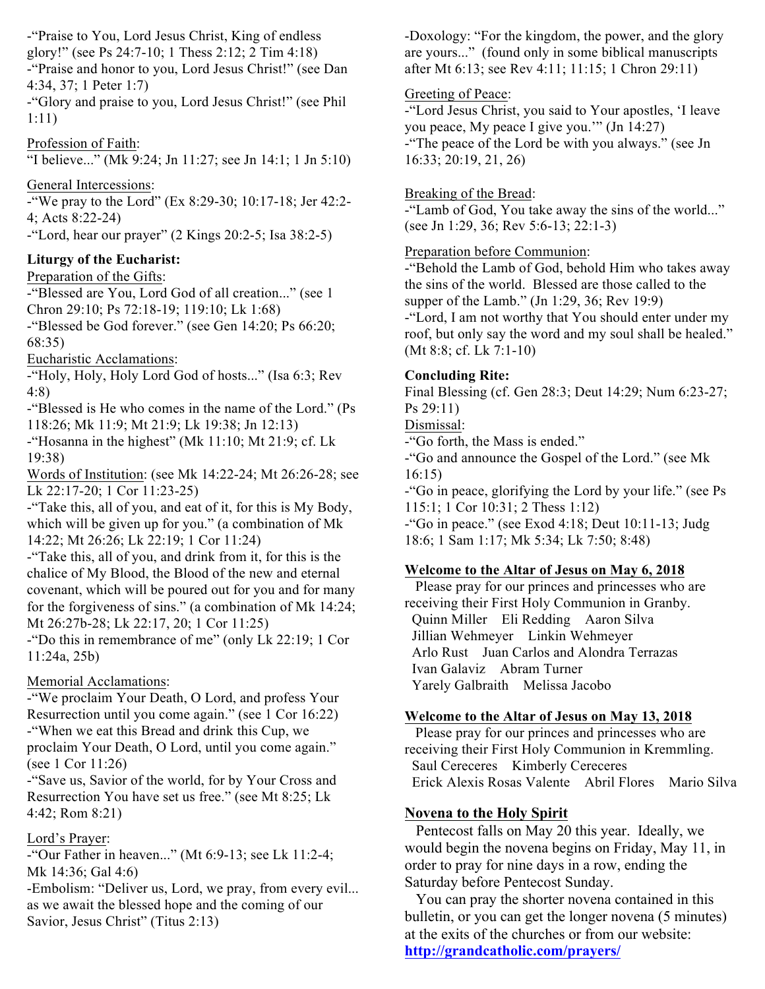-"Praise to You, Lord Jesus Christ, King of endless glory!" (see Ps 24:7-10; 1 Thess 2:12; 2 Tim 4:18)

-"Praise and honor to you, Lord Jesus Christ!" (see Dan

4:34, 37; 1 Peter 1:7)

-"Glory and praise to you, Lord Jesus Christ!" (see Phil 1:11)

Profession of Faith:

"I believe..." (Mk 9:24; Jn 11:27; see Jn 14:1; 1 Jn 5:10)

General Intercessions:

-"We pray to the Lord" (Ex 8:29-30; 10:17-18; Jer 42:2- 4; Acts 8:22-24)

-"Lord, hear our prayer" (2 Kings 20:2-5; Isa 38:2-5)

## **Liturgy of the Eucharist:**

### Preparation of the Gifts:

-"Blessed are You, Lord God of all creation..." (see 1 Chron 29:10; Ps 72:18-19; 119:10; Lk 1:68)

-"Blessed be God forever." (see Gen 14:20; Ps 66:20; 68:35)

Eucharistic Acclamations:

-"Holy, Holy, Holy Lord God of hosts..." (Isa 6:3; Rev 4:8)

-"Blessed is He who comes in the name of the Lord." (Ps 118:26; Mk 11:9; Mt 21:9; Lk 19:38; Jn 12:13)

-"Hosanna in the highest" (Mk 11:10; Mt 21:9; cf. Lk 19:38)

Words of Institution: (see Mk 14:22-24; Mt 26:26-28; see Lk 22:17-20; 1 Cor 11:23-25)

-"Take this, all of you, and eat of it, for this is My Body, which will be given up for you." (a combination of Mk 14:22; Mt 26:26; Lk 22:19; 1 Cor 11:24)

-"Take this, all of you, and drink from it, for this is the chalice of My Blood, the Blood of the new and eternal covenant, which will be poured out for you and for many for the forgiveness of sins." (a combination of Mk 14:24; Mt 26:27b-28; Lk 22:17, 20; 1 Cor 11:25)

-"Do this in remembrance of me" (only Lk 22:19; 1 Cor 11:24a, 25b)

## Memorial Acclamations:

-"We proclaim Your Death, O Lord, and profess Your Resurrection until you come again." (see 1 Cor 16:22) -"When we eat this Bread and drink this Cup, we proclaim Your Death, O Lord, until you come again." (see 1 Cor 11:26)

-"Save us, Savior of the world, for by Your Cross and Resurrection You have set us free." (see Mt 8:25; Lk 4:42; Rom 8:21)

# Lord's Prayer:

-"Our Father in heaven..." (Mt 6:9-13; see Lk 11:2-4; Mk 14:36; Gal 4:6)

-Embolism: "Deliver us, Lord, we pray, from every evil... as we await the blessed hope and the coming of our Savior, Jesus Christ" (Titus 2:13)

-Doxology: "For the kingdom, the power, and the glory are yours..." (found only in some biblical manuscripts after Mt 6:13; see Rev 4:11; 11:15; 1 Chron 29:11)

# Greeting of Peace:

-"Lord Jesus Christ, you said to Your apostles, 'I leave you peace, My peace I give you.'" (Jn 14:27) -"The peace of the Lord be with you always." (see Jn 16:33; 20:19, 21, 26)

# Breaking of the Bread:

-"Lamb of God, You take away the sins of the world..." (see Jn 1:29, 36; Rev 5:6-13; 22:1-3)

## Preparation before Communion:

-"Behold the Lamb of God, behold Him who takes away the sins of the world. Blessed are those called to the supper of the Lamb." (Jn 1:29, 36; Rev 19:9) -"Lord, I am not worthy that You should enter under my roof, but only say the word and my soul shall be healed." (Mt 8:8; cf. Lk 7:1-10)

## **Concluding Rite:**

Final Blessing (cf. Gen 28:3; Deut 14:29; Num 6:23-27; Ps 29:11)

Dismissal:

-"Go forth, the Mass is ended."

-"Go and announce the Gospel of the Lord." (see Mk 16:15)

-"Go in peace, glorifying the Lord by your life." (see Ps 115:1; 1 Cor 10:31; 2 Thess 1:12) -"Go in peace." (see Exod 4:18; Deut 10:11-13; Judg

18:6; 1 Sam 1:17; Mk 5:34; Lk 7:50; 8:48)

## **Welcome to the Altar of Jesus on May 6, 2018**

 Please pray for our princes and princesses who are receiving their First Holy Communion in Granby. Quinn Miller Eli Redding Aaron Silva Jillian Wehmeyer Linkin Wehmeyer Arlo Rust Juan Carlos and Alondra Terrazas Ivan Galaviz Abram Turner Yarely Galbraith Melissa Jacobo

## **Welcome to the Altar of Jesus on May 13, 2018**

 Please pray for our princes and princesses who are receiving their First Holy Communion in Kremmling. Saul Cereceres Kimberly Cereceres Erick Alexis Rosas Valente Abril Flores Mario Silva

## **Novena to the Holy Spirit**

 Pentecost falls on May 20 this year. Ideally, we would begin the novena begins on Friday, May 11, in order to pray for nine days in a row, ending the Saturday before Pentecost Sunday.

 You can pray the shorter novena contained in this bulletin, or you can get the longer novena (5 minutes) at the exits of the churches or from our website: **http://grandcatholic.com/prayers/**